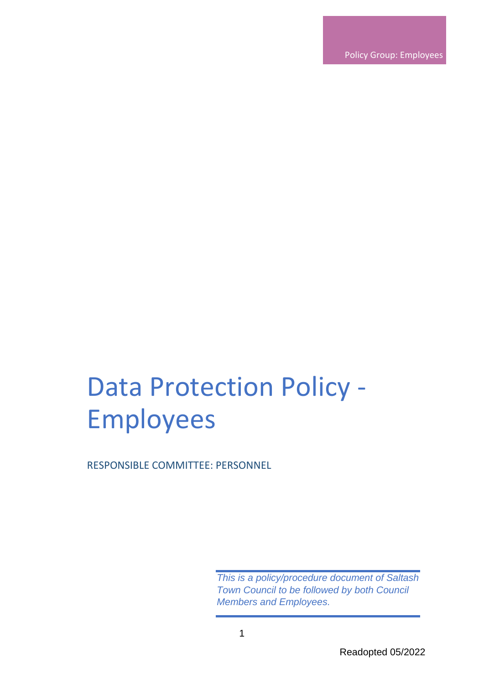Policy Group: Employees

# Data Protection Policy - Employees

RESPONSIBLE COMMITTEE: PERSONNEL

*This is a policy/procedure document of Saltash Town Council to be followed by both Council Members and Employees.*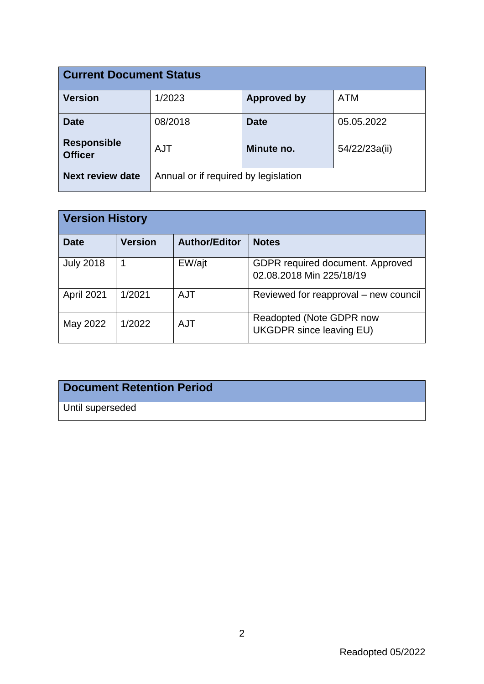| <b>Current Document Status</b>       |                                      |                    |               |  |
|--------------------------------------|--------------------------------------|--------------------|---------------|--|
| <b>Version</b>                       | 1/2023                               | <b>Approved by</b> | <b>ATM</b>    |  |
| <b>Date</b>                          | 08/2018                              | <b>Date</b>        | 05.05.2022    |  |
| <b>Responsible</b><br><b>Officer</b> | <b>AJT</b>                           | Minute no.         | 54/22/23a(ii) |  |
| <b>Next review date</b>              | Annual or if required by legislation |                    |               |  |

| <b>Version History</b> |                |                      |                                                              |  |  |
|------------------------|----------------|----------------------|--------------------------------------------------------------|--|--|
| <b>Date</b>            | <b>Version</b> | <b>Author/Editor</b> | <b>Notes</b>                                                 |  |  |
| <b>July 2018</b>       |                | EW/ajt               | GDPR required document. Approved<br>02.08.2018 Min 225/18/19 |  |  |
| April 2021             | 1/2021         | <b>AJT</b>           | Reviewed for reapproval – new council                        |  |  |
| May 2022               | 1/2022         | <b>AJT</b>           | Readopted (Note GDPR now<br><b>UKGDPR</b> since leaving EU)  |  |  |

## **Document Retention Period**

Until superseded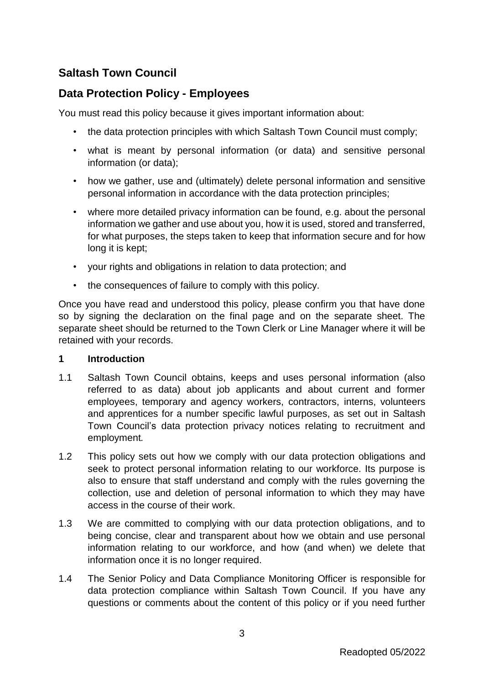## **Saltash Town Council**

### **Data Protection Policy - Employees**

You must read this policy because it gives important information about:

- the data protection principles with which Saltash Town Council must comply;
- what is meant by personal information (or data) and sensitive personal information (or data);
- how we gather, use and (ultimately) delete personal information and sensitive personal information in accordance with the data protection principles;
- where more detailed privacy information can be found, e.g. about the personal information we gather and use about you, how it is used, stored and transferred, for what purposes, the steps taken to keep that information secure and for how long it is kept;
- your rights and obligations in relation to data protection; and
- the consequences of failure to comply with this policy.

Once you have read and understood this policy, please confirm you that have done so by signing the declaration on the final page and on the separate sheet. The separate sheet should be returned to the Town Clerk or Line Manager where it will be retained with your records.

#### **1 Introduction**

- 1.1 Saltash Town Council obtains, keeps and uses personal information (also referred to as data) about job applicants and about current and former employees, temporary and agency workers, contractors, interns, volunteers and apprentices for a number specific lawful purposes, as set out in Saltash Town Council's data protection privacy notices relating to recruitment and employment*.*
- 1.2 This policy sets out how we comply with our data protection obligations and seek to protect personal information relating to our workforce. Its purpose is also to ensure that staff understand and comply with the rules governing the collection, use and deletion of personal information to which they may have access in the course of their work.
- 1.3 We are committed to complying with our data protection obligations, and to being concise, clear and transparent about how we obtain and use personal information relating to our workforce, and how (and when) we delete that information once it is no longer required.
- 1.4 The Senior Policy and Data Compliance Monitoring Officer is responsible for data protection compliance within Saltash Town Council. If you have any questions or comments about the content of this policy or if you need further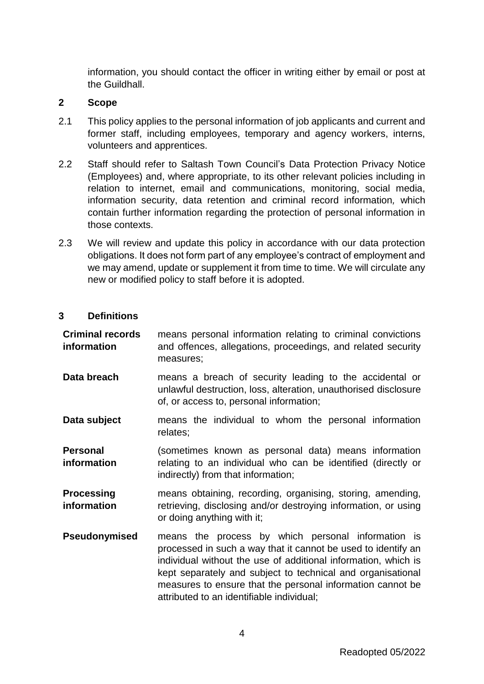information, you should contact the officer in writing either by email or post at the Guildhall.

#### **2 Scope**

- 2.1 This policy applies to the personal information of job applicants and current and former staff, including employees, temporary and agency workers, interns, volunteers and apprentices.
- 2.2 Staff should refer to Saltash Town Council's Data Protection Privacy Notice (Employees) and, where appropriate, to its other relevant policies including in relation to internet, email and communications, monitoring, social media, information security, data retention and criminal record information*,* which contain further information regarding the protection of personal information in those contexts.
- 2.3 We will review and update this policy in accordance with our data protection obligations. It does not form part of any employee's contract of employment and we may amend, update or supplement it from time to time. We will circulate any new or modified policy to staff before it is adopted.

#### **3 Definitions**

| <b>Criminal records</b><br>information | means personal information relating to criminal convictions<br>and offences, allegations, proceedings, and related security<br>measures;                                                                                                                                                                                                                        |
|----------------------------------------|-----------------------------------------------------------------------------------------------------------------------------------------------------------------------------------------------------------------------------------------------------------------------------------------------------------------------------------------------------------------|
| Data breach                            | means a breach of security leading to the accidental or<br>unlawful destruction, loss, alteration, unauthorised disclosure<br>of, or access to, personal information;                                                                                                                                                                                           |
| Data subject                           | means the individual to whom the personal information<br>relates;                                                                                                                                                                                                                                                                                               |
| <b>Personal</b><br>information         | (sometimes known as personal data) means information<br>relating to an individual who can be identified (directly or<br>indirectly) from that information;                                                                                                                                                                                                      |
| <b>Processing</b><br>information       | means obtaining, recording, organising, storing, amending,<br>retrieving, disclosing and/or destroying information, or using<br>or doing anything with it;                                                                                                                                                                                                      |
| Pseudonymised                          | means the process by which personal information is<br>processed in such a way that it cannot be used to identify an<br>individual without the use of additional information, which is<br>kept separately and subject to technical and organisational<br>measures to ensure that the personal information cannot be<br>attributed to an identifiable individual; |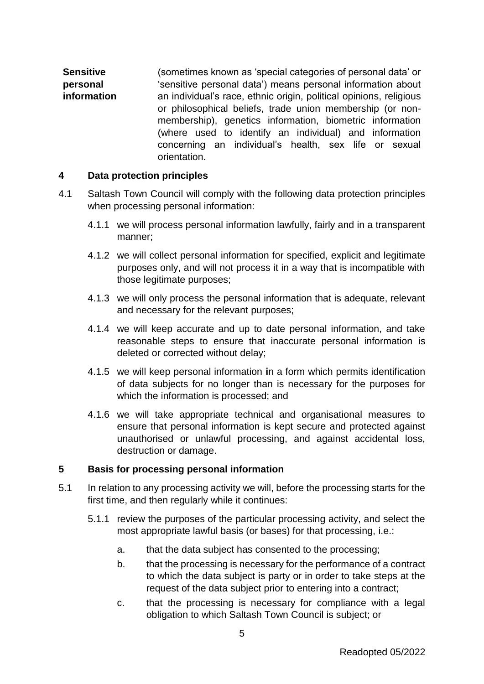**Sensitive personal information** (sometimes known as 'special categories of personal data' or 'sensitive personal data') means personal information about an individual's race, ethnic origin, political opinions, religious or philosophical beliefs, trade union membership (or nonmembership), genetics information, biometric information (where used to identify an individual) and information concerning an individual's health, sex life or sexual orientation.

#### <span id="page-4-1"></span>**4 Data protection principles**

- <span id="page-4-2"></span>4.1 Saltash Town Council will comply with the following data protection principles when processing personal information:
	- 4.1.1 we will process personal information lawfully, fairly and in a transparent manner;
	- 4.1.2 we will collect personal information for specified, explicit and legitimate purposes only, and will not process it in a way that is incompatible with those legitimate purposes;
	- 4.1.3 we will only process the personal information that is adequate, relevant and necessary for the relevant purposes;
	- 4.1.4 we will keep accurate and up to date personal information, and take reasonable steps to ensure that inaccurate personal information is deleted or corrected without delay;
	- 4.1.5 we will keep personal information **i**n a form which permits identification of data subjects for no longer than is necessary for the purposes for which the information is processed; and
	- 4.1.6 we will take appropriate technical and organisational measures to ensure that personal information is kept secure and protected against unauthorised or unlawful processing, and against accidental loss, destruction or damage.

#### **5 Basis for processing personal information**

- <span id="page-4-0"></span>5.1 In relation to any processing activity we will, before the processing starts for the first time, and then regularly while it continues:
	- 5.1.1 review the purposes of the particular processing activity, and select the most appropriate lawful basis (or bases) for that processing, i.e.:
		- a. that the data subject has consented to the processing;
		- b. that the processing is necessary for the performance of a contract to which the data subject is party or in order to take steps at the request of the data subject prior to entering into a contract;
		- c. that the processing is necessary for compliance with a legal obligation to which Saltash Town Council is subject; or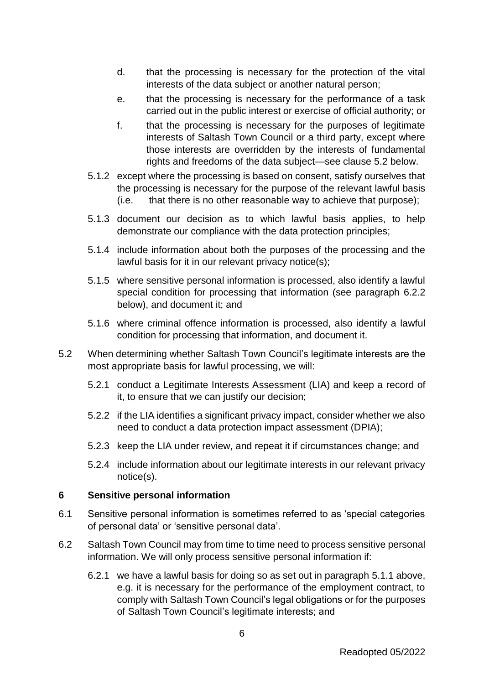- d. that the processing is necessary for the protection of the vital interests of the data subject or another natural person;
- e. that the processing is necessary for the performance of a task carried out in the public interest or exercise of official authority; or
- f. that the processing is necessary for the purposes of legitimate interests of Saltash Town Council or a third party, except where those interests are overridden by the interests of fundamental rights and freedoms of the data subject—see clause [5.2](#page-5-0) below.
- 5.1.2 except where the processing is based on consent, satisfy ourselves that the processing is necessary for the purpose of the relevant lawful basis (i.e. that there is no other reasonable way to achieve that purpose);
- 5.1.3 document our decision as to which lawful basis applies, to help demonstrate our compliance with the data protection principles;
- 5.1.4 include information about both the purposes of the processing and the lawful basis for it in our relevant privacy notice(s);
- 5.1.5 where sensitive personal information is processed, also identify a lawful special condition for processing that information (see paragraph [6.2.2](#page-6-0) below), and document it; and
- 5.1.6 where criminal offence information is processed, also identify a lawful condition for processing that information, and document it.
- <span id="page-5-0"></span>5.2 When determining whether Saltash Town Council's legitimate interests are the most appropriate basis for lawful processing, we will:
	- 5.2.1 conduct a Legitimate Interests Assessment (LIA) and keep a record of it, to ensure that we can justify our decision;
	- 5.2.2 if the LIA identifies a significant privacy impact, consider whether we also need to conduct a data protection impact assessment (DPIA);
	- 5.2.3 keep the LIA under review, and repeat it if circumstances change; and
	- 5.2.4 include information about our legitimate interests in our relevant privacy notice(s).

#### **6 Sensitive personal information**

- 6.1 Sensitive personal information is sometimes referred to as 'special categories of personal data' or 'sensitive personal data'.
- 6.2 Saltash Town Council may from time to time need to process sensitive personal information. We will only process sensitive personal information if:
	- 6.2.1 we have a lawful basis for doing so as set out in paragraph [5.1.1](#page-4-0) above, e.g. it is necessary for the performance of the employment contract, to comply with Saltash Town Council's legal obligations or for the purposes of Saltash Town Council's legitimate interests; and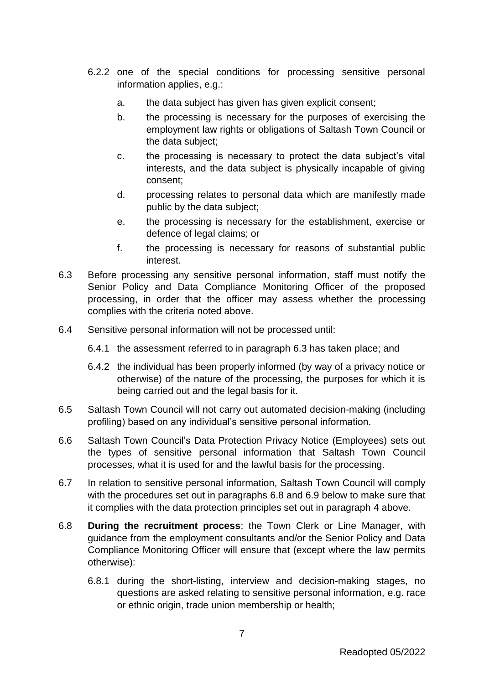- <span id="page-6-0"></span>6.2.2 one of the special conditions for processing sensitive personal information applies, e.g.:
	- a. the data subject has given has given explicit consent;
	- b. the processing is necessary for the purposes of exercising the employment law rights or obligations of Saltash Town Council or the data subject;
	- c. the processing is necessary to protect the data subject's vital interests, and the data subject is physically incapable of giving consent;
	- d. processing relates to personal data which are manifestly made public by the data subject;
	- e. the processing is necessary for the establishment, exercise or defence of legal claims; or
	- f. the processing is necessary for reasons of substantial public interest.
- <span id="page-6-1"></span>6.3 Before processing any sensitive personal information, staff must notify the Senior Policy and Data Compliance Monitoring Officer of the proposed processing, in order that the officer may assess whether the processing complies with the criteria noted above.
- 6.4 Sensitive personal information will not be processed until:
	- 6.4.1 the assessment referred to in paragraph [6.3](#page-6-1) has taken place; and
	- 6.4.2 the individual has been properly informed (by way of a privacy notice or otherwise) of the nature of the processing, the purposes for which it is being carried out and the legal basis for it.
- 6.5 Saltash Town Council will not carry out automated decision-making (including profiling) based on any individual's sensitive personal information.
- 6.6 Saltash Town Council's Data Protection Privacy Notice (Employees) sets out the types of sensitive personal information that Saltash Town Council processes, what it is used for and the lawful basis for the processing.
- 6.7 In relation to sensitive personal information, Saltash Town Council will comply with the procedures set out in paragraphs [6.8](#page-6-2) and [6.9](#page-7-0) below to make sure that it complies with the data protection principles set out in paragraph [4](#page-4-1) above.
- <span id="page-6-2"></span>6.8 **During the recruitment process**: the Town Clerk or Line Manager, with guidance from the employment consultants and/or the Senior Policy and Data Compliance Monitoring Officer will ensure that (except where the law permits otherwise):
	- 6.8.1 during the short-listing, interview and decision-making stages, no questions are asked relating to sensitive personal information, e.g. race or ethnic origin, trade union membership or health;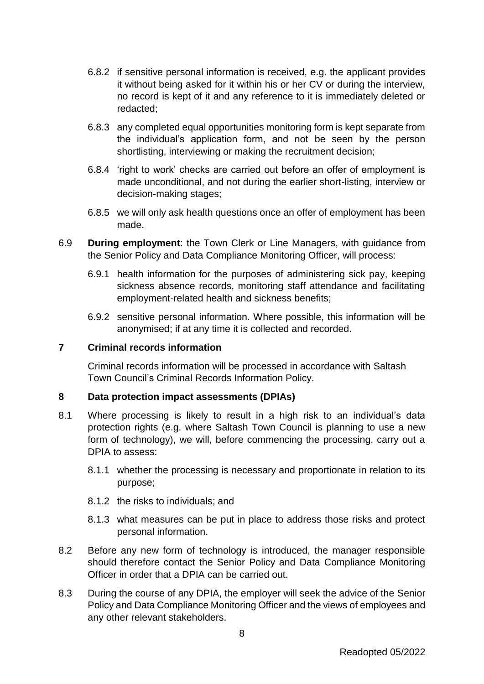- 6.8.2 if sensitive personal information is received, e.g. the applicant provides it without being asked for it within his or her CV or during the interview, no record is kept of it and any reference to it is immediately deleted or redacted;
- 6.8.3 any completed equal opportunities monitoring form is kept separate from the individual's application form, and not be seen by the person shortlisting, interviewing or making the recruitment decision;
- 6.8.4 'right to work' checks are carried out before an offer of employment is made unconditional, and not during the earlier short-listing, interview or decision-making stages;
- 6.8.5 we will only ask health questions once an offer of employment has been made.
- <span id="page-7-0"></span>6.9 **During employment**: the Town Clerk or Line Managers, with guidance from the Senior Policy and Data Compliance Monitoring Officer, will process:
	- 6.9.1 health information for the purposes of administering sick pay, keeping sickness absence records, monitoring staff attendance and facilitating employment-related health and sickness benefits;
	- 6.9.2 sensitive personal information. Where possible, this information will be anonymised; if at any time it is collected and recorded.

#### **7 Criminal records information**

Criminal records information will be processed in accordance with Saltash Town Council's Criminal Records Information Policy.

#### **8 Data protection impact assessments (DPIAs)**

- 8.1 Where processing is likely to result in a high risk to an individual's data protection rights (e.g. where Saltash Town Council is planning to use a new form of technology), we will, before commencing the processing, carry out a DPIA to assess:
	- 8.1.1 whether the processing is necessary and proportionate in relation to its purpose;
	- 8.1.2 the risks to individuals; and
	- 8.1.3 what measures can be put in place to address those risks and protect personal information.
- 8.2 Before any new form of technology is introduced, the manager responsible should therefore contact the Senior Policy and Data Compliance Monitoring Officer in order that a DPIA can be carried out.
- 8.3 During the course of any DPIA, the employer will seek the advice of the Senior Policy and Data Compliance Monitoring Officer and the views of employees and any other relevant stakeholders.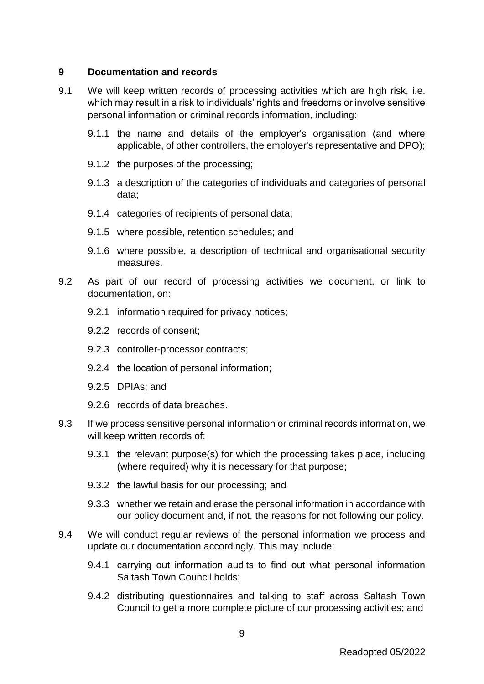#### **9 Documentation and records**

- 9.1 We will keep written records of processing activities which are high risk, i.e. which may result in a risk to individuals' rights and freedoms or involve sensitive personal information or criminal records information, including:
	- 9.1.1 the name and details of the employer's organisation (and where applicable, of other controllers, the employer's representative and DPO);
	- 9.1.2 the purposes of the processing;
	- 9.1.3 a description of the categories of individuals and categories of personal data;
	- 9.1.4 categories of recipients of personal data;
	- 9.1.5 where possible, retention schedules; and
	- 9.1.6 where possible, a description of technical and organisational security measures.
- 9.2 As part of our record of processing activities we document, or link to documentation, on:
	- 9.2.1 information required for privacy notices;
	- 9.2.2 records of consent;
	- 9.2.3 controller-processor contracts;
	- 9.2.4 the location of personal information;
	- 9.2.5 DPIAs; and
	- 9.2.6 records of data breaches.
- 9.3 If we process sensitive personal information or criminal records information, we will keep written records of:
	- 9.3.1 the relevant purpose(s) for which the processing takes place, including (where required) why it is necessary for that purpose;
	- 9.3.2 the lawful basis for our processing; and
	- 9.3.3 whether we retain and erase the personal information in accordance with our policy document and, if not, the reasons for not following our policy.
- 9.4 We will conduct regular reviews of the personal information we process and update our documentation accordingly. This may include:
	- 9.4.1 carrying out information audits to find out what personal information Saltash Town Council holds;
	- 9.4.2 distributing questionnaires and talking to staff across Saltash Town Council to get a more complete picture of our processing activities; and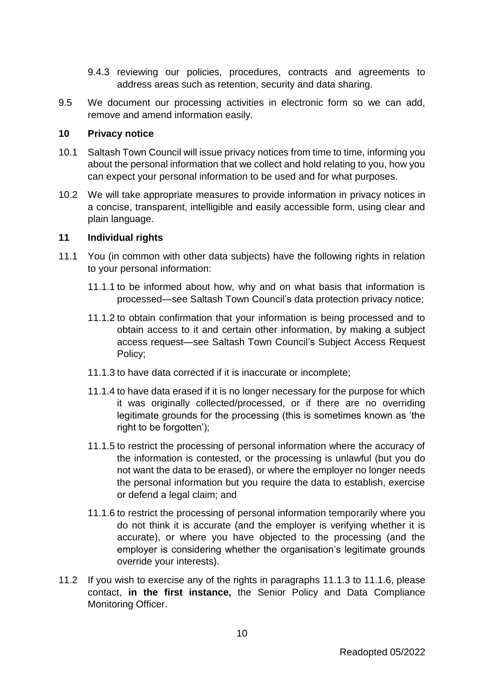- 9.4.3 reviewing our policies, procedures, contracts and agreements to address areas such as retention, security and data sharing.
- 9.5 We document our processing activities in electronic form so we can add, remove and amend information easily.

#### **10 Privacy notice**

- 10.1 Saltash Town Council will issue privacy notices from time to time, informing you about the personal information that we collect and hold relating to you, how you can expect your personal information to be used and for what purposes.
- 10.2 We will take appropriate measures to provide information in privacy notices in a concise, transparent, intelligible and easily accessible form, using clear and plain language.

#### **11 Individual rights**

- <span id="page-9-2"></span><span id="page-9-0"></span>11.1 You (in common with other data subjects) have the following rights in relation to your personal information:
	- 11.1.1 to be informed about how, why and on what basis that information is processed—see Saltash Town Council's data protection privacy notice;
	- 11.1.2 to obtain confirmation that your information is being processed and to obtain access to it and certain other information, by making a subject access request—see Saltash Town Council's Subject Access Request Policy;
	- 11.1.3 to have data corrected if it is inaccurate or incomplete;
	- 11.1.4 to have data erased if it is no longer necessary for the purpose for which it was originally collected/processed, or if there are no overriding legitimate grounds for the processing (this is sometimes known as 'the right to be forgotten');
	- 11.1.5 to restrict the processing of personal information where the accuracy of the information is contested, or the processing is unlawful (but you do not want the data to be erased), or where the employer no longer needs the personal information but you require the data to establish, exercise or defend a legal claim; and
	- 11.1.6 to restrict the processing of personal information temporarily where you do not think it is accurate (and the employer is verifying whether it is accurate), or where you have objected to the processing (and the employer is considering whether the organisation's legitimate grounds override your interests).
- <span id="page-9-1"></span>11.2 If you wish to exercise any of the rights in paragraphs [11.1.3](#page-9-0) to [11.1.6,](#page-9-1) please contact, **in the first instance,** the Senior Policy and Data Compliance Monitoring Officer.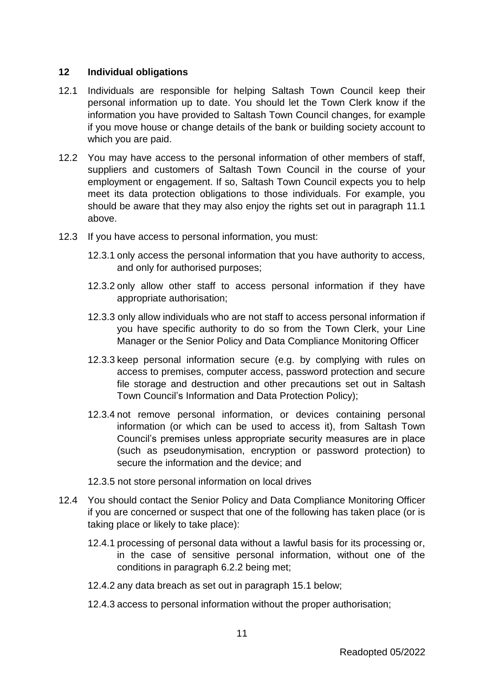#### **12 Individual obligations**

- 12.1 Individuals are responsible for helping Saltash Town Council keep their personal information up to date. You should let the Town Clerk know if the information you have provided to Saltash Town Council changes, for example if you move house or change details of the bank or building society account to which you are paid.
- 12.2 You may have access to the personal information of other members of staff, suppliers and customers of Saltash Town Council in the course of your employment or engagement. If so, Saltash Town Council expects you to help meet its data protection obligations to those individuals. For example, you should be aware that they may also enjoy the rights set out in paragraph [11.1](#page-9-2) above.
- 12.3 If you have access to personal information, you must:
	- 12.3.1 only access the personal information that you have authority to access, and only for authorised purposes;
	- 12.3.2 only allow other staff to access personal information if they have appropriate authorisation;
	- 12.3.3 only allow individuals who are not staff to access personal information if you have specific authority to do so from the Town Clerk, your Line Manager or the Senior Policy and Data Compliance Monitoring Officer
	- 12.3.3 keep personal information secure (e.g. by complying with rules on access to premises, computer access, password protection and secure file storage and destruction and other precautions set out in Saltash Town Council's Information and Data Protection Policy);
	- 12.3.4 not remove personal information, or devices containing personal information (or which can be used to access it), from Saltash Town Council's premises unless appropriate security measures are in place (such as pseudonymisation, encryption or password protection) to secure the information and the device; and
	- 12.3.5 not store personal information on local drives
- 12.4 You should contact the Senior Policy and Data Compliance Monitoring Officer if you are concerned or suspect that one of the following has taken place (or is taking place or likely to take place):
	- 12.4.1 processing of personal data without a lawful basis for its processing or, in the case of sensitive personal information, without one of the conditions in paragraph [6.2.2](#page-6-0) being met;
	- 12.4.2 any data breach as set out in paragraph [15.1](#page-12-0) below;
	- 12.4.3 access to personal information without the proper authorisation;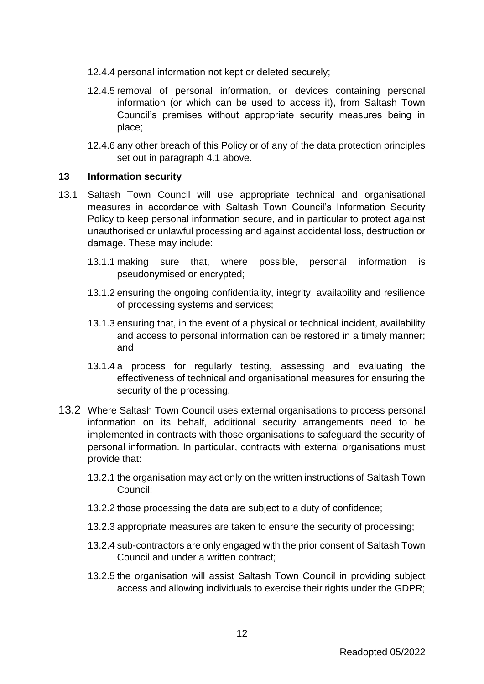- 12.4.4 personal information not kept or deleted securely;
- 12.4.5 removal of personal information, or devices containing personal information (or which can be used to access it), from Saltash Town Council's premises without appropriate security measures being in place;
- 12.4.6 any other breach of this Policy or of any of the data protection principles set out in paragraph [4.1](#page-4-2) above.

#### **13 Information security**

- 13.1 Saltash Town Council will use appropriate technical and organisational measures in accordance with Saltash Town Council's Information Security Policy to keep personal information secure, and in particular to protect against unauthorised or unlawful processing and against accidental loss, destruction or damage. These may include:
	- 13.1.1 making sure that, where possible, personal information is pseudonymised or encrypted;
	- 13.1.2 ensuring the ongoing confidentiality, integrity, availability and resilience of processing systems and services;
	- 13.1.3 ensuring that, in the event of a physical or technical incident, availability and access to personal information can be restored in a timely manner; and
	- 13.1.4 a process for regularly testing, assessing and evaluating the effectiveness of technical and organisational measures for ensuring the security of the processing.
- 13.2 Where Saltash Town Council uses external organisations to process personal information on its behalf, additional security arrangements need to be implemented in contracts with those organisations to safeguard the security of personal information. In particular, contracts with external organisations must provide that:
	- 13.2.1 the organisation may act only on the written instructions of Saltash Town Council;
	- 13.2.2 those processing the data are subject to a duty of confidence;
	- 13.2.3 appropriate measures are taken to ensure the security of processing;
	- 13.2.4 sub-contractors are only engaged with the prior consent of Saltash Town Council and under a written contract;
	- 13.2.5 the organisation will assist Saltash Town Council in providing subject access and allowing individuals to exercise their rights under the GDPR;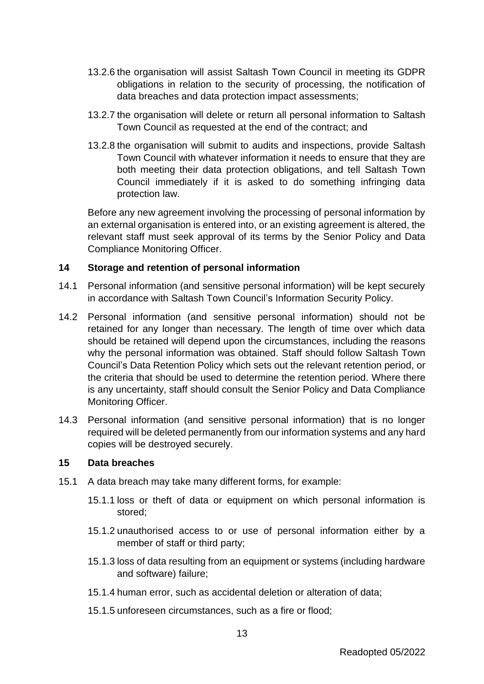- 13.2.6 the organisation will assist Saltash Town Council in meeting its GDPR obligations in relation to the security of processing, the notification of data breaches and data protection impact assessments;
- 13.2.7 the organisation will delete or return all personal information to Saltash Town Council as requested at the end of the contract; and
- 13.2.8 the organisation will submit to audits and inspections, provide Saltash Town Council with whatever information it needs to ensure that they are both meeting their data protection obligations, and tell Saltash Town Council immediately if it is asked to do something infringing data protection law.

Before any new agreement involving the processing of personal information by an external organisation is entered into, or an existing agreement is altered, the relevant staff must seek approval of its terms by the Senior Policy and Data Compliance Monitoring Officer.

#### **14 Storage and retention of personal information**

- 14.1 Personal information (and sensitive personal information) will be kept securely in accordance with Saltash Town Council's Information Security Policy.
- 14.2 Personal information (and sensitive personal information) should not be retained for any longer than necessary. The length of time over which data should be retained will depend upon the circumstances, including the reasons why the personal information was obtained. Staff should follow Saltash Town Council's Data Retention Policy which sets out the relevant retention period, or the criteria that should be used to determine the retention period. Where there is any uncertainty, staff should consult the Senior Policy and Data Compliance Monitoring Officer.
- 14.3 Personal information (and sensitive personal information) that is no longer required will be deleted permanently from our information systems and any hard copies will be destroyed securely.

#### **15 Data breaches**

- <span id="page-12-0"></span>15.1 A data breach may take many different forms, for example:
	- 15.1.1 loss or theft of data or equipment on which personal information is stored;
	- 15.1.2 unauthorised access to or use of personal information either by a member of staff or third party;
	- 15.1.3 loss of data resulting from an equipment or systems (including hardware and software) failure;
	- 15.1.4 human error, such as accidental deletion or alteration of data;
	- 15.1.5 unforeseen circumstances, such as a fire or flood;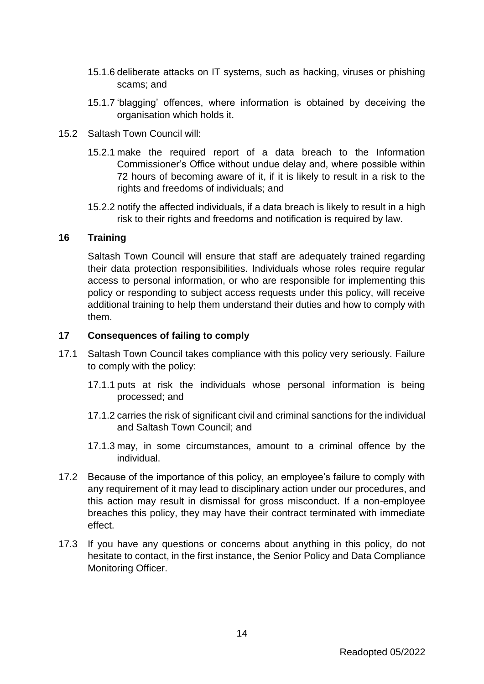- 15.1.6 deliberate attacks on IT systems, such as hacking, viruses or phishing scams; and
- 15.1.7 'blagging' offences, where information is obtained by deceiving the organisation which holds it.
- 15.2 Saltash Town Council will:
	- 15.2.1 make the required report of a data breach to the Information Commissioner's Office without undue delay and, where possible within 72 hours of becoming aware of it, if it is likely to result in a risk to the rights and freedoms of individuals; and
	- 15.2.2 notify the affected individuals, if a data breach is likely to result in a high risk to their rights and freedoms and notification is required by law.

#### **16 Training**

Saltash Town Council will ensure that staff are adequately trained regarding their data protection responsibilities. Individuals whose roles require regular access to personal information, or who are responsible for implementing this policy or responding to subject access requests under this policy, will receive additional training to help them understand their duties and how to comply with them.

#### **17 Consequences of failing to comply**

- 17.1 Saltash Town Council takes compliance with this policy very seriously. Failure to comply with the policy:
	- 17.1.1 puts at risk the individuals whose personal information is being processed; and
	- 17.1.2 carries the risk of significant civil and criminal sanctions for the individual and Saltash Town Council; and
	- 17.1.3 may, in some circumstances, amount to a criminal offence by the individual.
- 17.2 Because of the importance of this policy, an employee's failure to comply with any requirement of it may lead to disciplinary action under our procedures, and this action may result in dismissal for gross misconduct. If a non-employee breaches this policy, they may have their contract terminated with immediate effect.
- 17.3 If you have any questions or concerns about anything in this policy, do not hesitate to contact, in the first instance, the Senior Policy and Data Compliance Monitoring Officer.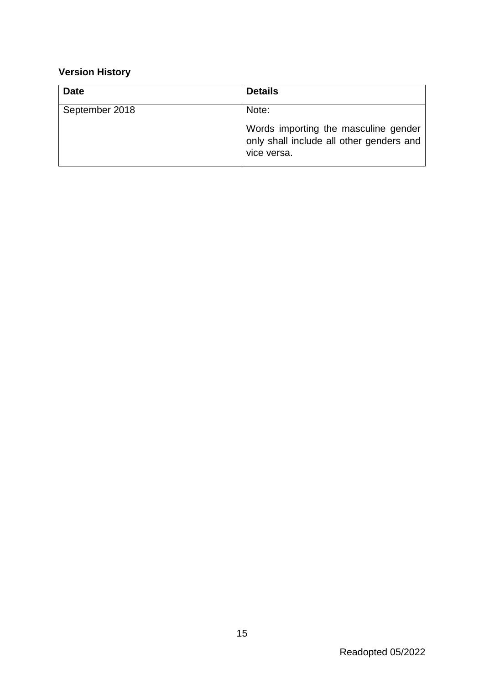## **Version History**

| <b>Date</b>    | <b>Details</b>                                                                                  |
|----------------|-------------------------------------------------------------------------------------------------|
| September 2018 | Note:                                                                                           |
|                | Words importing the masculine gender<br>only shall include all other genders and<br>vice versa. |